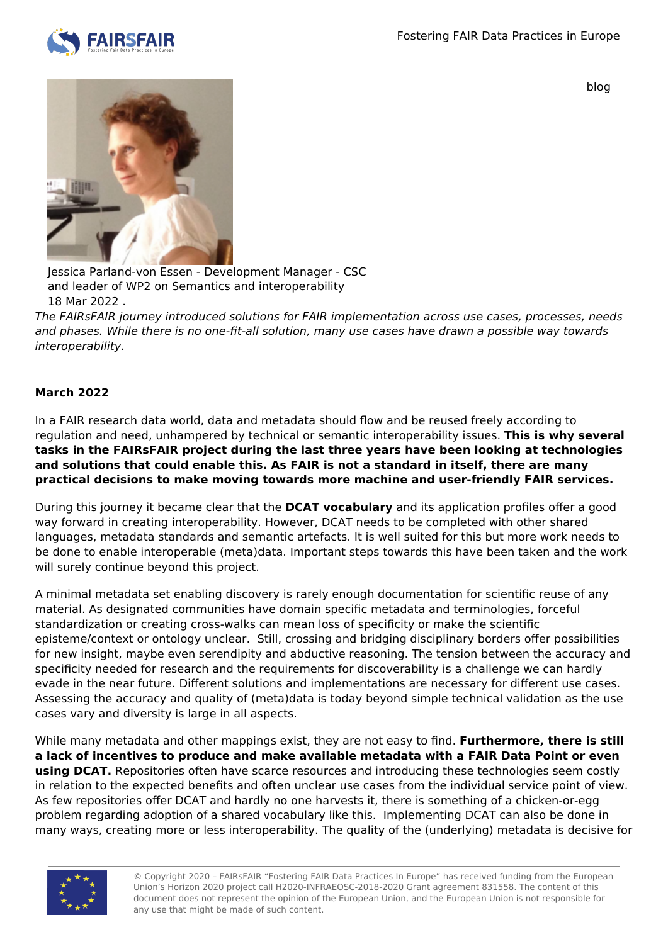

blog



Jessica Parland-von Essen - Development Manager - CSC and leader of WP2 on Semantics and interoperability 18 Mar 2022 .

The FAIRsFAIR journey introduced solutions for FAIR implementation across use cases, processes, needs and phases. While there is no one-fit-all solution, many use cases have drawn a possible way towards interoperability.

## **March 2022**

In a FAIR research data world, data and metadata should flow and be reused freely according to regulation and need, unhampered by technical or semantic interoperability issues. **This is why several tasks in the FAIRsFAIR project during the last three years have been looking at technologies and solutions that could enable this. As FAIR is not a standard in itself, there are many practical decisions to make moving towards more machine and user-friendly FAIR services.** 

During this journey it became clear that the **DCAT vocabulary** and its application profiles offer a good way forward in creating interoperability. However, DCAT needs to be completed with other shared languages, metadata standards and semantic artefacts. It is well suited for this but more work needs to be done to enable interoperable (meta)data. Important steps towards this have been taken and the work will surely continue beyond this project.

A minimal metadata set enabling discovery is rarely enough documentation for scientific reuse of any material. As designated communities have domain specific metadata and terminologies, forceful standardization or creating cross-walks can mean loss of specificity or make the scientific episteme/context or ontology unclear. Still, crossing and bridging disciplinary borders offer possibilities for new insight, maybe even serendipity and abductive reasoning. The tension between the accuracy and specificity needed for research and the requirements for discoverability is a challenge we can hardly evade in the near future. Different solutions and implementations are necessary for different use cases. Assessing the accuracy and quality of (meta)data is today beyond simple technical validation as the use cases vary and diversity is large in all aspects.

While many metadata and other mappings exist, they are not easy to find. **Furthermore, there is still a lack of incentives to produce and make available metadata with a FAIR Data Point or even using DCAT.** Repositories often have scarce resources and introducing these technologies seem costly in relation to the expected benefits and often unclear use cases from the individual service point of view. As few repositories offer DCAT and hardly no one harvests it, there is something of a chicken-or-egg problem regarding adoption of a shared vocabulary like this. Implementing DCAT can also be done in many ways, creating more or less interoperability. The quality of the (underlying) metadata is decisive for